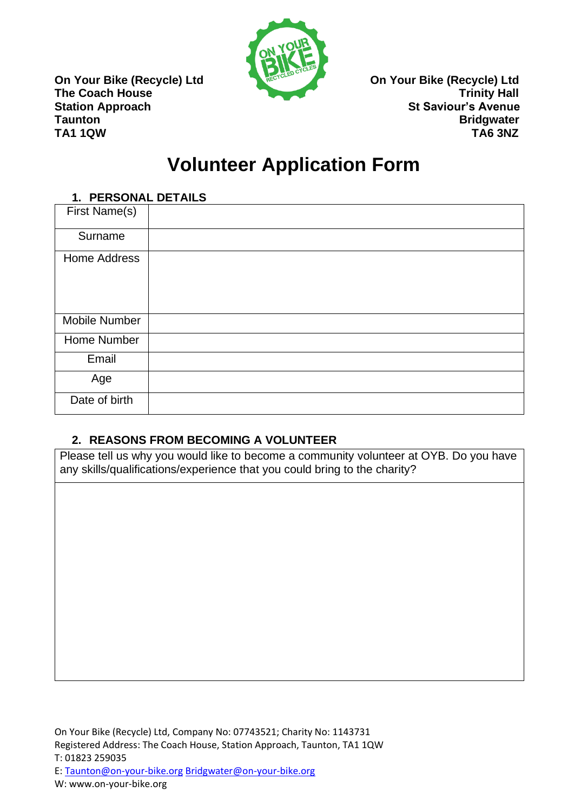

**On Your Bike (Recycle) Ltd Conserversity Conserversity Conserversity Conserversity Conserversity Conserversity The Coach House The Coach House** Trinity Hall **Station Approach St Saviour's Avenue Taunton** Bridgwater **TA1 1QW TA6 3NZ**

# **Volunteer Application Form**

| 1. PERSONAL DETAILS  |  |
|----------------------|--|
| First Name(s)        |  |
| Surname              |  |
| <b>Home Address</b>  |  |
| <b>Mobile Number</b> |  |
| Home Number          |  |
| Email                |  |
| Age                  |  |
| Date of birth        |  |

### **2. REASONS FROM BECOMING A VOLUNTEER**

Please tell us why you would like to become a community volunteer at OYB. Do you have any skills/qualifications/experience that you could bring to the charity?

E: [Taunton@on-your-bike.org](mailto:Taunton@on-your-bike.org) [Bridgwater@on-your-bike.org](mailto:Bridgwater@on-your-bike.org)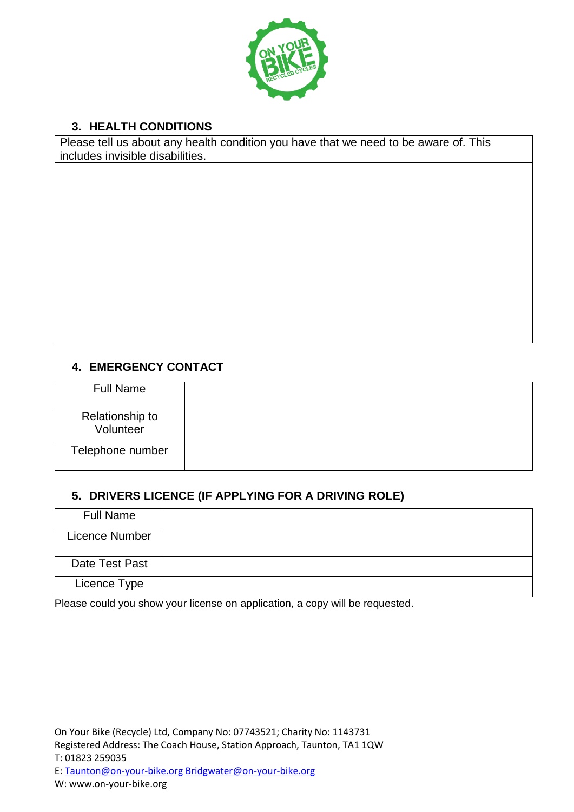

## **3. HEALTH CONDITIONS**

Please tell us about any health condition you have that we need to be aware of. This includes invisible disabilities.

### **4. EMERGENCY CONTACT**

| <b>Full Name</b>             |  |
|------------------------------|--|
| Relationship to<br>Volunteer |  |
| Telephone number             |  |

### **5. DRIVERS LICENCE (IF APPLYING FOR A DRIVING ROLE)**

| <b>Full Name</b>      |  |
|-----------------------|--|
| <b>Licence Number</b> |  |
| Date Test Past        |  |
| Licence Type          |  |

Please could you show your license on application, a copy will be requested.

On Your Bike (Recycle) Ltd, Company No: 07743521; Charity No: 1143731 Registered Address: The Coach House, Station Approach, Taunton, TA1 1QW T: 01823 259035

E: [Taunton@on-your-bike.org](mailto:Taunton@on-your-bike.org) [Bridgwater@on-your-bike.org](mailto:Bridgwater@on-your-bike.org)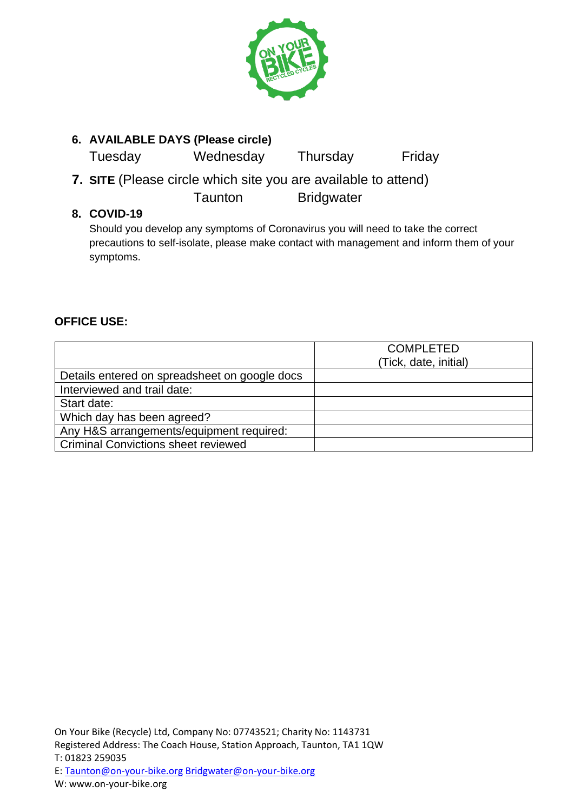

## **6. AVAILABLE DAYS (Please circle)**

Tuesday Wednesday Thursday Friday

**7. SITE** (Please circle which site you are available to attend) Taunton Bridgwater

### **8. COVID-19**

Should you develop any symptoms of Coronavirus you will need to take the correct precautions to self-isolate, please make contact with management and inform them of your symptoms.

### **OFFICE USE:**

|                                               | <b>COMPLETED</b>      |
|-----------------------------------------------|-----------------------|
|                                               | (Tick, date, initial) |
| Details entered on spreadsheet on google docs |                       |
| Interviewed and trail date:                   |                       |
| Start date:                                   |                       |
| Which day has been agreed?                    |                       |
| Any H&S arrangements/equipment required:      |                       |
| <b>Criminal Convictions sheet reviewed</b>    |                       |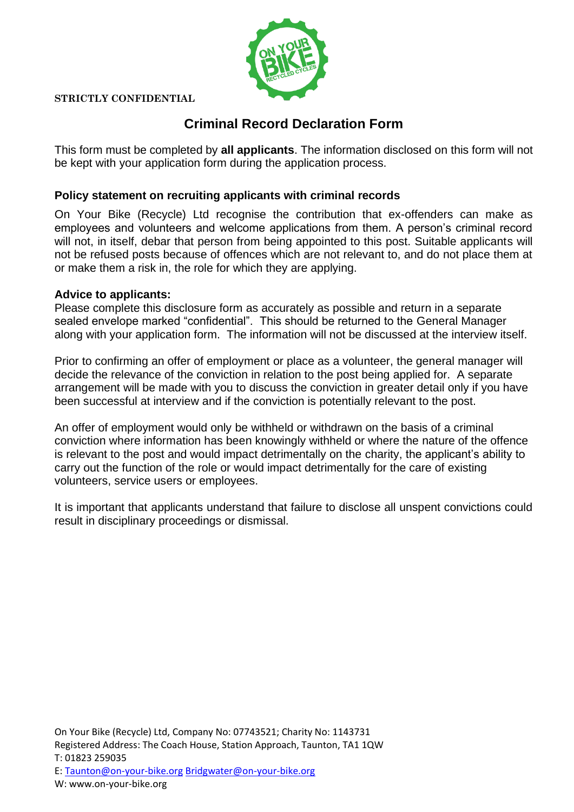

#### **STRICTLY CONFIDENTIAL**

## **Criminal Record Declaration Form**

This form must be completed by **all applicants**. The information disclosed on this form will not be kept with your application form during the application process.

#### **Policy statement on recruiting applicants with criminal records**

On Your Bike (Recycle) Ltd recognise the contribution that ex-offenders can make as employees and volunteers and welcome applications from them. A person's criminal record will not, in itself, debar that person from being appointed to this post. Suitable applicants will not be refused posts because of offences which are not relevant to, and do not place them at or make them a risk in, the role for which they are applying.

#### **Advice to applicants:**

Please complete this disclosure form as accurately as possible and return in a separate sealed envelope marked "confidential". This should be returned to the General Manager along with your application form. The information will not be discussed at the interview itself.

Prior to confirming an offer of employment or place as a volunteer, the general manager will decide the relevance of the conviction in relation to the post being applied for. A separate arrangement will be made with you to discuss the conviction in greater detail only if you have been successful at interview and if the conviction is potentially relevant to the post.

An offer of employment would only be withheld or withdrawn on the basis of a criminal conviction where information has been knowingly withheld or where the nature of the offence is relevant to the post and would impact detrimentally on the charity, the applicant's ability to carry out the function of the role or would impact detrimentally for the care of existing volunteers, service users or employees.

It is important that applicants understand that failure to disclose all unspent convictions could result in disciplinary proceedings or dismissal.